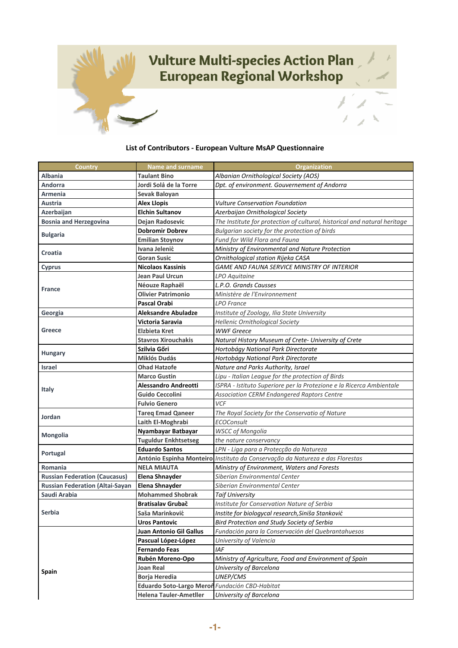

## **List of Contributors - European Vulture MsAP Questionnaire**

| Country                                | <b>Name and surname</b>                        | Organization                                                                  |
|----------------------------------------|------------------------------------------------|-------------------------------------------------------------------------------|
| <b>Albania</b>                         | Taulant Bino                                   | Albanian Ornithological Society (AOS)                                         |
| Andorra                                | Jordi Solà de la Torre                         | Dpt. of environment. Gouvernement of Andorra                                  |
| Armenia                                | Sevak Baloyan                                  |                                                                               |
| Austria                                | <b>Alex Llopis</b>                             | <b>Vulture Conservation Foundation</b>                                        |
| Azerbaijan                             | <b>Elchin Sultanov</b>                         | Azerbaijan Ornithological Society                                             |
| <b>Bosnia and Herzegovina</b>          | Dejan Radosevic                                | The Institute for protection of cultural, historical and natural heritage     |
|                                        | <b>Dobromir Dobrev</b>                         | Bulgarian society for the protection of birds                                 |
| <b>Bulgaria</b>                        | <b>Emilian Stoynov</b>                         | Fund for Wild Flora and Fauna                                                 |
| Croatia                                | Ivana Jelenić                                  | Ministry of Environmental and Nature Protection                               |
|                                        | <b>Goran Susic</b>                             | Ornithological station Rijeka CASA                                            |
| <b>Cyprus</b>                          | <b>Nicolaos Kassinis</b>                       | <b>GAME AND FAUNA SERVICE MINISTRY OF INTERIOR</b>                            |
|                                        | Jean Paul Urcun                                | LPO Aquitaine                                                                 |
|                                        | Néouze Raphaël                                 | L.P.O. Grands Causses                                                         |
| <b>France</b>                          | <b>Olivier Patrimonio</b>                      | Ministère de l'Environnement                                                  |
|                                        | Pascal Orabi                                   | <b>LPO</b> France                                                             |
| Georgia                                | Aleksandre Abuladze                            | Institute of Zoology, Ilia State University                                   |
|                                        | Victoria Saravia                               | Hellenic Ornithological Society                                               |
| <b>Greece</b>                          | Elzbieta Kret                                  | <b>WWF Greece</b>                                                             |
|                                        | <b>Stavros Xirouchakis</b>                     | Natural History Museum of Crete- University of Crete                          |
|                                        | Szilvia Gőri                                   | Hortobágy National Park Directorate                                           |
| <b>Hungary</b>                         | Miklós Dudás                                   | Hortobágy National Park Directorate                                           |
| Israel                                 | <b>Ohad Hatzofe</b>                            | Nature and Parks Authority, Israel                                            |
|                                        | <b>Marco Gustin</b>                            | Lipu - Italian League for the protection of Birds                             |
| <b>Italy</b>                           | Alessandro Andreotti                           | ISPRA - Istituto Superiore per la Protezione e la Ricerca Ambientale          |
|                                        | <b>Guido Ceccolini</b>                         | <b>Association CERM Endangered Raptors Centre</b>                             |
|                                        | <b>Fulvio Genero</b>                           | VCF                                                                           |
| Jordan                                 | <b>Tareg Emad Qaneer</b>                       | The Royal Society for the Conservatio of Nature                               |
|                                        | Laith El-Moghrabi                              | <b>ECOConsult</b>                                                             |
| <b>Mongolia</b>                        | Nyambayar Batbayar                             | <b>WSCC of Mongolia</b>                                                       |
|                                        | <b>Tuguldur Enkhtsetseg</b>                    | the nature conservancy                                                        |
| Portugal                               | <b>Eduardo Santos</b>                          | LPN - Liga para a Protecção da Natureza                                       |
|                                        |                                                | António Espinha Monteiro Instituto da Conservação da Natureza e das Florestas |
| Romania                                | <b>NELA MIAUTA</b>                             | Ministry of Environment, Waters and Forests                                   |
| <b>Russian Federation (Caucasus)</b>   | <b>Elena Shnayder</b>                          | Siberian Environmental Center                                                 |
| <b>Russian Federation (Altai-Sayan</b> | <b>Elena Shnayder</b>                          | Siberian Environmental Center                                                 |
| Saudi Arabia                           | <b>Mohammed Shobrak</b>                        | <b>Taif University</b>                                                        |
| Serbia                                 | <b>Bratisalav Grubač</b>                       | Institute for Conservation Nature of Serbia                                   |
|                                        | Saša Marinković                                | Instite for biologycal research, Siniša Stanković                             |
|                                        | <b>Uros Pantovic</b>                           | Bird Protection and Study Society of Serbia                                   |
| <b>Spain</b>                           | Juan Antonio Gil Gallus                        | Fundación para la Conservación del Quebrantahuesos                            |
|                                        | Pascual López-López                            | University of Valencia                                                        |
|                                        | Fernando Feas                                  | IAF                                                                           |
|                                        | Rubén Moreno-Opo                               | Ministry of Agriculture, Food and Environment of Spain                        |
|                                        | Joan Real                                      | University of Barcelona                                                       |
|                                        | <b>Borja Heredia</b>                           | <b>UNEP/CMS</b>                                                               |
|                                        | Eduardo Soto-Largo Meroñ Fundación CBD-Habitat |                                                                               |
|                                        | <b>Helena Tauler-Ametller</b>                  | University of Barcelona                                                       |